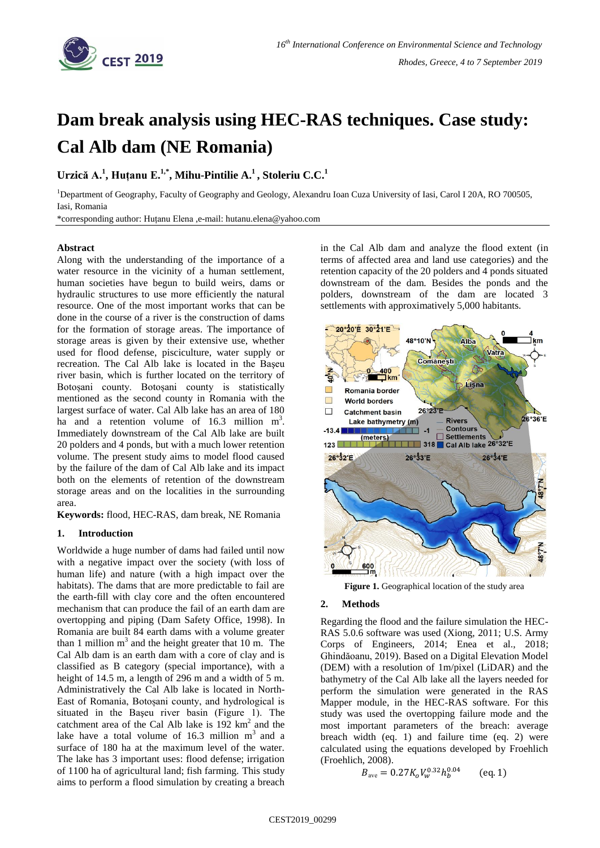

# **Dam break analysis using HEC-RAS techniques. Case study: Cal Alb dam (NE Romania)**

**Urzică A.<sup>1</sup> , Huțanu E.1,\* , Mihu-Pintilie A.<sup>1</sup> , Stoleriu C.C.<sup>1</sup>**

<sup>1</sup>Department of Geography, Faculty of Geography and Geology, Alexandru Ioan Cuza University of Iasi, Carol I 20A, RO 700505, Iasi, Romania

\*corresponding author: Huțanu Elena ,e-mail: hutanu.elena@yahoo.com

## **Abstract**

Along with the understanding of the importance of a water resource in the vicinity of a human settlement, human societies have begun to build weirs, dams or hydraulic structures to use more efficiently the natural resource. One of the most important works that can be done in the course of a river is the construction of dams for the formation of storage areas. The importance of storage areas is given by their extensive use, whether used for flood defense, pisciculture, water supply or recreation. The Cal Alb lake is located in the Başeu river basin, which is further located on the territory of Botoșani county. Botoșani county is statistically mentioned as the second county in Romania with the largest surface of water. Cal Alb lake has an area of 180 ha and a retention volume of  $16.3$  million m<sup>3</sup>. Immediately downstream of the Cal Alb lake are built 20 polders and 4 ponds, but with a much lower retention volume. The present study aims to model flood caused by the failure of the dam of Cal Alb lake and its impact both on the elements of retention of the downstream storage areas and on the localities in the surrounding area.

**Keywords:** flood, HEC-RAS, dam break, NE Romania

## **1. Introduction**

Worldwide a huge number of dams had failed until now with a negative impact over the society (with loss of human life) and nature (with a high impact over the habitats). The dams that are more predictable to fail are the earth-fill with clay core and the often encountered mechanism that can produce the fail of an earth dam are overtopping and piping (Dam Safety Office, 1998). In Romania are built 84 earth dams with a volume greater than 1 million  $m<sup>3</sup>$  and the height greater that 10 m. The Cal Alb dam is an earth dam with a core of clay and is classified as B category (special importance), with a height of 14.5 m, a length of 296 m and a width of 5 m. Administratively the Cal Alb lake is located in North-East of Romania, Botoșani county, and hydrological is situated in the Başeu river basin (Figure 1). The catchment area of the Cal Alb lake is  $192 \text{ km}^2$  and the lake have a total volume of  $16.3$  million  $m<sup>3</sup>$  and a surface of 180 ha at the maximum level of the water. The lake has 3 important uses: flood defense; irrigation of 1100 ha of agricultural land; fish farming. This study aims to perform a flood simulation by creating a breach

in the Cal Alb dam and analyze the flood extent (in terms of affected area and land use categories) and the retention capacity of the 20 polders and 4 ponds situated downstream of the dam. Besides the ponds and the polders, downstream of the dam are located 3 settlements with approximatively 5,000 habitants.



**Figure 1.** Geographical location of the study area

## **2. Methods**

Regarding the flood and the failure simulation the HEC-RAS 5.0.6 software was used (Xiong, 2011; U.S. Army Corps of Engineers, 2014; Enea et al., 2018; Ghindăoanu, 2019). Based on a Digital Elevation Model (DEM) with a resolution of 1m/pixel (LiDAR) and the bathymetry of the Cal Alb lake all the layers needed for perform the simulation were generated in the RAS Mapper module, in the HEC-RAS software. For this study was used the overtopping failure mode and the most important parameters of the breach: average breach width (eq. 1) and failure time (eq. 2) were calculated using the equations developed by Froehlich (Froehlich, 2008).

$$
B_{\text{ave}} = 0.27 K_o V_w^{0.32} h_b^{0.04} \qquad \text{(eq. 1)}
$$